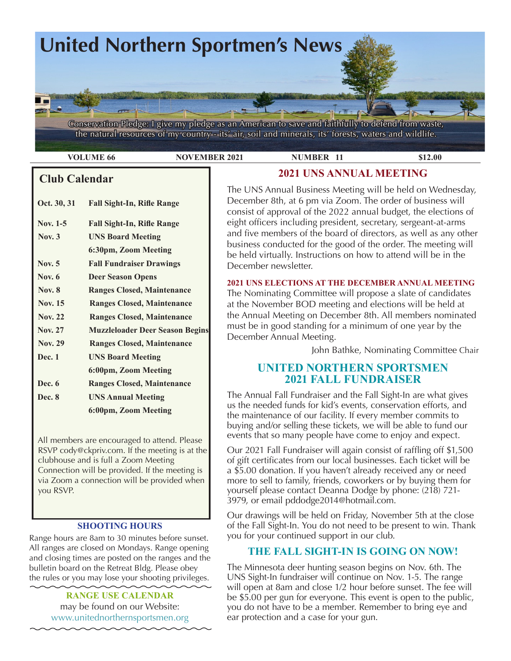

**VOLUME 66 NOVEMBER 2021 NUMBER 11 \$12.00** 

### **Club Calendar**

| Oct. 30, 31    | <b>Fall Sight-In, Rifle Range</b>      |  |  |
|----------------|----------------------------------------|--|--|
| Nov. 1-5       | <b>Fall Sight-In, Rifle Range</b>      |  |  |
| Nov. $3$       | <b>UNS Board Meeting</b>               |  |  |
|                | 6:30pm, Zoom Meeting                   |  |  |
| Nov. 5         | <b>Fall Fundraiser Drawings</b>        |  |  |
| Nov. $6$       | <b>Deer Season Opens</b>               |  |  |
| <b>Nov. 8</b>  | <b>Ranges Closed, Maintenance</b>      |  |  |
| <b>Nov. 15</b> | <b>Ranges Closed, Maintenance</b>      |  |  |
| <b>Nov. 22</b> | <b>Ranges Closed, Maintenance</b>      |  |  |
| <b>Nov. 27</b> | <b>Muzzleloader Deer Season Begins</b> |  |  |
| <b>Nov. 29</b> | <b>Ranges Closed, Maintenance</b>      |  |  |
| <b>Dec.</b> 1  | <b>UNS Board Meeting</b>               |  |  |
|                | 6:00pm, Zoom Meeting                   |  |  |
| Dec. 6         | <b>Ranges Closed, Maintenance</b>      |  |  |
|                |                                        |  |  |

 All members are encouraged to attend. Please RSVP cody@ckpriv.com. If the meeting is at the clubhouse and is full a Zoom Meeting Connection will be provided. If the meeting is via Zoom a connection will be provided when

 **6:00pm, Zoom Meeting**

 **Dec. 8 UNS Annual Meeting**

you RSVP.

#### **SHOOTING HOURS**

Range hours are 8am to 30 minutes before sunset. All ranges are closed on Mondays. Range opening and closing times are posted on the ranges and the bulletin board on the Retreat Bldg. Please obey the rules or you may lose your shooting privileges.

> **RANGE USE CALENDAR**  may be found on our Website: [www.unitednorthernsportsmen.org](http://www.unitednorthernsportsmen.org)

### **2021 UNS ANNUAL MEETING**

The UNS Annual Business Meeting will be held on Wednesday, December 8th, at 6 pm via Zoom. The order of business will consist of approval of the 2022 annual budget, the elections of eight officers including president, secretary, sergeant-at-arms and five members of the board of directors, as well as any other business conducted for the good of the order. The meeting will be held virtually. Instructions on how to attend will be in the December newsletter.

#### **2021 UNS ELECTIONS AT THE DECEMBER ANNUAL MEETING**

The Nominating Committee will propose a slate of candidates at the November BOD meeting and elections will be held at the Annual Meeting on December 8th. All members nominated must be in good standing for a minimum of one year by the December Annual Meeting.

John Bathke, Nominating Committee Chair

### **UNITED NORTHERN SPORTSMEN 2021 FALL FUNDRAISER**

The Annual Fall Fundraiser and the Fall Sight-In are what gives us the needed funds for kid's events, conservation efforts, and the maintenance of our facility. If every member commits to buying and/or selling these tickets, we will be able to fund our events that so many people have come to enjoy and expect.

Our 2021 Fall Fundraiser will again consist of raffling off \$1,500 of gift certificates from our local businesses. Each ticket will be a \$5.00 donation. If you haven't already received any or need more to sell to family, friends, coworkers or by buying them for yourself please contact Deanna Dodge by phone: (218) 721- 3979, or email pddodge2014@hotmail.com.

Our drawings will be held on Friday, November 5th at the close of the Fall Sight-In. You do not need to be present to win. Thank you for your continued support in our club.

### **THE FALL SIGHT-IN IS GOING ON NOW!**

The Minnesota deer hunting season begins on Nov. 6th. The UNS Sight-In fundraiser will continue on Nov. 1-5. The range will open at 8am and close 1/2 hour before sunset. The fee will be \$5.00 per gun for everyone. This event is open to the public, you do not have to be a member. Remember to bring eye and ear protection and a case for your gun.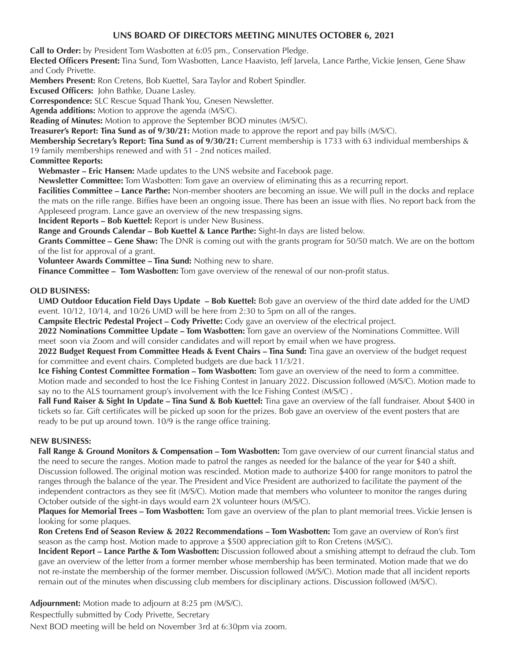#### **UNS BOARD OF DIRECTORS MEETING MINUTES OCTOBER 6, 2021**

**Call to Order:** by President Tom Wasbotten at 6:05 pm., Conservation Pledge.

**Elected Officers Present:** Tina Sund, Tom Wasbotten, Lance Haavisto, Jeff Jarvela, Lance Parthe, Vickie Jensen, Gene Shaw and Cody Privette.

**Members Present:** Ron Cretens, Bob Kuettel, Sara Taylor and Robert Spindler.

**Excused Officers:** John Bathke, Duane Lasley.

**Correspondence:** SLC Rescue Squad Thank You, Gnesen Newsletter.

**Agenda additions:** Motion to approve the agenda (M/S/C).

**Reading of Minutes:** Motion to approve the September BOD minutes (M/S/C).

**Treasurer's Report: Tina Sund as of 9/30/21:** Motion made to approve the report and pay bills (M/S/C).

**Membership Secretary's Report: Tina Sund as of 9/30/21:** Current membership is 1733 with 63 individual memberships & 19 family memberships renewed and with 51 - 2nd notices mailed.

**Committee Reports:**

**Webmaster – Eric Hansen:** Made updates to the UNS website and Facebook page.

**Newsletter Committee:** Tom Wasbotten: Tom gave an overview of eliminating this as a recurring report.

**Facilities Committee – Lance Parthe:** Non-member shooters are becoming an issue. We will pull in the docks and replace the mats on the rifle range. Biffies have been an ongoing issue. There has been an issue with flies. No report back from the Appleseed program. Lance gave an overview of the new trespassing signs.

**Incident Reports – Bob Kuettel:** Report is under New Business.

**Range and Grounds Calendar – Bob Kuettel & Lance Parthe:** Sight-In days are listed below.

**Grants Committee – Gene Shaw:** The DNR is coming out with the grants program for 50/50 match. We are on the bottom of the list for approval of a grant.

**Volunteer Awards Committee – Tina Sund:** Nothing new to share.

**Finance Committee – Tom Wasbotten:** Tom gave overview of the renewal of our non-profit status.

#### **OLD BUSINESS:**

**UMD Outdoor Education Field Days Update – Bob Kuettel:** Bob gave an overview of the third date added for the UMD event. 10/12, 10/14, and 10/26 UMD will be here from 2:30 to 5pm on all of the ranges.

**Campsite Electric Pedestal Project – Cody Privette:** Cody gave an overview of the electrical project.

**2022 Nominations Committee Update – Tom Wasbotten:** Tom gave an overview of the Nominations Committee. Will meet soon via Zoom and will consider candidates and will report by email when we have progress.

**2022 Budget Request From Committee Heads & Event Chairs – Tina Sund:** Tina gave an overview of the budget request for committee and event chairs. Completed budgets are due back 11/3/21.

**Ice Fishing Contest Committee Formation – Tom Wasbotten:** Tom gave an overview of the need to form a committee. Motion made and seconded to host the Ice Fishing Contest in January 2022. Discussion followed (M/S/C). Motion made to say no to the ALS tournament group's involvement with the Ice Fishing Contest (M/S/C) .

**Fall Fund Raiser & Sight In Update – Tina Sund & Bob Kuettel:** Tina gave an overview of the fall fundraiser. About \$400 in tickets so far. Gift certificates will be picked up soon for the prizes. Bob gave an overview of the event posters that are ready to be put up around town. 10/9 is the range office training.

#### **NEW BUSINESS:**

**Fall Range & Ground Monitors & Compensation – Tom Wasbotten:** Tom gave overview of our current financial status and the need to secure the ranges. Motion made to patrol the ranges as needed for the balance of the year for \$40 a shift. Discussion followed. The original motion was rescinded. Motion made to authorize \$400 for range monitors to patrol the ranges through the balance of the year. The President and Vice President are authorized to facilitate the payment of the independent contractors as they see fit (M/S/C). Motion made that members who volunteer to monitor the ranges during October outside of the sight-in days would earn 2X volunteer hours (M/S/C).

**Plaques for Memorial Trees – Tom Wasbotten:** Tom gave an overview of the plan to plant memorial trees. Vickie Jensen is looking for some plaques.

**Ron Cretens End of Season Review & 2022 Recommendations – Tom Wasbotten:** Tom gave an overview of Ron's first season as the camp host. Motion made to approve a \$500 appreciation gift to Ron Cretens (M/S/C).

**Incident Report – Lance Parthe & Tom Wasbotten:** Discussion followed about a smishing attempt to defraud the club. Tom gave an overview of the letter from a former member whose membership has been terminated. Motion made that we do not re-instate the membership of the former member. Discussion followed (M/S/C). Motion made that all incident reports remain out of the minutes when discussing club members for disciplinary actions. Discussion followed (M/S/C).

**Adjournment:** Motion made to adjourn at 8:25 pm (M/S/C).

Respectfully submitted by Cody Privette, Secretary

Next BOD meeting will be held on November 3rd at 6:30pm via zoom.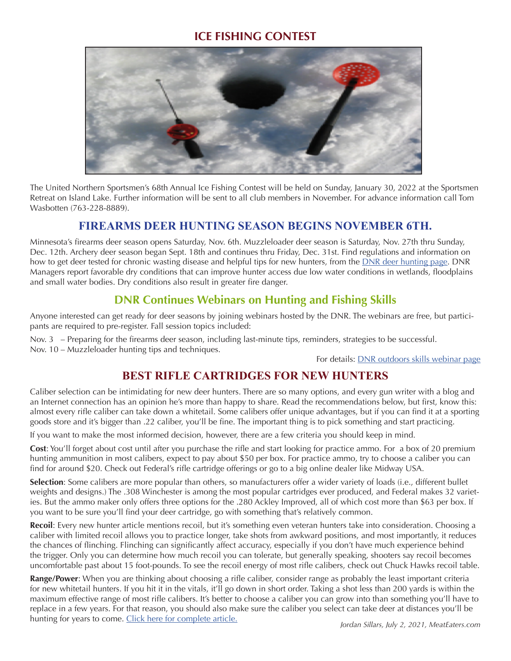### **ICE FISHING CONTEST**



The United Northern Sportsmen's 68th Annual Ice Fishing Contest will be held on Sunday, January 30, 2022 at the Sportsmen Retreat on Island Lake. Further information will be sent to all club members in November. For advance information call Tom Wasbotten (763-228-8889).

### **FIREARMS DEER HUNTING SEASON BEGINS NOVEMBER 6TH.**

Minnesota's firearms deer season opens Saturday, Nov. 6th. Muzzleloader deer season is Saturday, Nov. 27th thru Sunday, Dec. 12th. Archery deer season began Sept. 18th and continues thru Friday, Dec. 31st. Find regulations and information on how to get deer tested for chronic wasting disease and helpful tips for new hunters, from the **DNR** deer hunting page. DNR Managers report favorable dry conditions that can improve hunter access due low water conditions in wetlands, floodplains and small water bodies. Dry conditions also result in greater fire danger.

### **DNR Continues Webinars on Hunting and Fishing Skills**

Anyone interested can get ready for deer seasons by joining webinars hosted by the DNR. The webinars are free, but participants are required to pre-register. Fall session topics included:

Nov. 3 – Preparing for the firearms deer season, including last-minute tips, reminders, strategies to be successful. Nov. 10 – Muzzleloader hunting tips and techniques.

For details: [DNR outdoors skills webinar page](https://www.dnr.state.mn.us/fishwildlife/outreach/index.html)

# **BEST RIFLE CARTRIDGES FOR NEW HUNTERS**

Caliber selection can be intimidating for new deer hunters. There are so many options, and every gun writer with a blog and an Internet connection has an opinion he's more than happy to share. Read the recommendations below, but first, know this: almost every rifle caliber can take down a whitetail. Some calibers offer unique advantages, but if you can find it at a sporting goods store and it's bigger than .22 caliber, you'll be fine. The important thing is to pick something and start practicing.

If you want to make the most informed decision, however, there are a few criteria you should keep in mind.

**Cost**: You'll forget about cost until after you purchase the rifle and start looking for practice ammo. For a box of 20 premium hunting ammunition in most calibers, expect to pay about \$50 per box. For practice ammo, try to choose a caliber you can find for around \$20. Check out Federal's rifle cartridge offerings or go to a big online dealer like Midway USA.

**Selection**: Some calibers are more popular than others, so manufacturers offer a wider variety of loads (i.e., different bullet weights and designs.) The .308 Winchester is among the most popular cartridges ever produced, and Federal makes 32 varieties. But the ammo maker only offers three options for the .280 Ackley Improved, all of which cost more than \$63 per box. If you want to be sure you'll find your deer cartridge, go with something that's relatively common.

**Recoil**: Every new hunter article mentions recoil, but it's something even veteran hunters take into consideration. Choosing a caliber with limited recoil allows you to practice longer, take shots from awkward positions, and most importantly, it reduces the chances of flinching. Flinching can significantly affect accuracy, especially if you don't have much experience behind the trigger. Only you can determine how much recoil you can tolerate, but generally speaking, shooters say recoil becomes uncomfortable past about 15 foot-pounds. To see the recoil energy of most rifle calibers, check out Chuck Hawks recoil table.

**Range/Power**: When you are thinking about choosing a rifle caliber, consider range as probably the least important criteria for new whitetail hunters. If you hit it in the vitals, it'll go down in short order. Taking a shot less than 200 yards is within the maximum effective range of most rifle calibers. It's better to choose a caliber you can grow into than something you'll have to replace in a few years. For that reason, you should also make sure the caliber you select can take deer at distances you'll be hunting for years to come. [Click here for complete article.](https://www.themeateater.com/wired-to-hunt/whitetail-hunting-gear/best-rifle-cartridges-for-new-deer-hunters) *Jordan Sillars, July 2, 2021, MeatEaters.com*